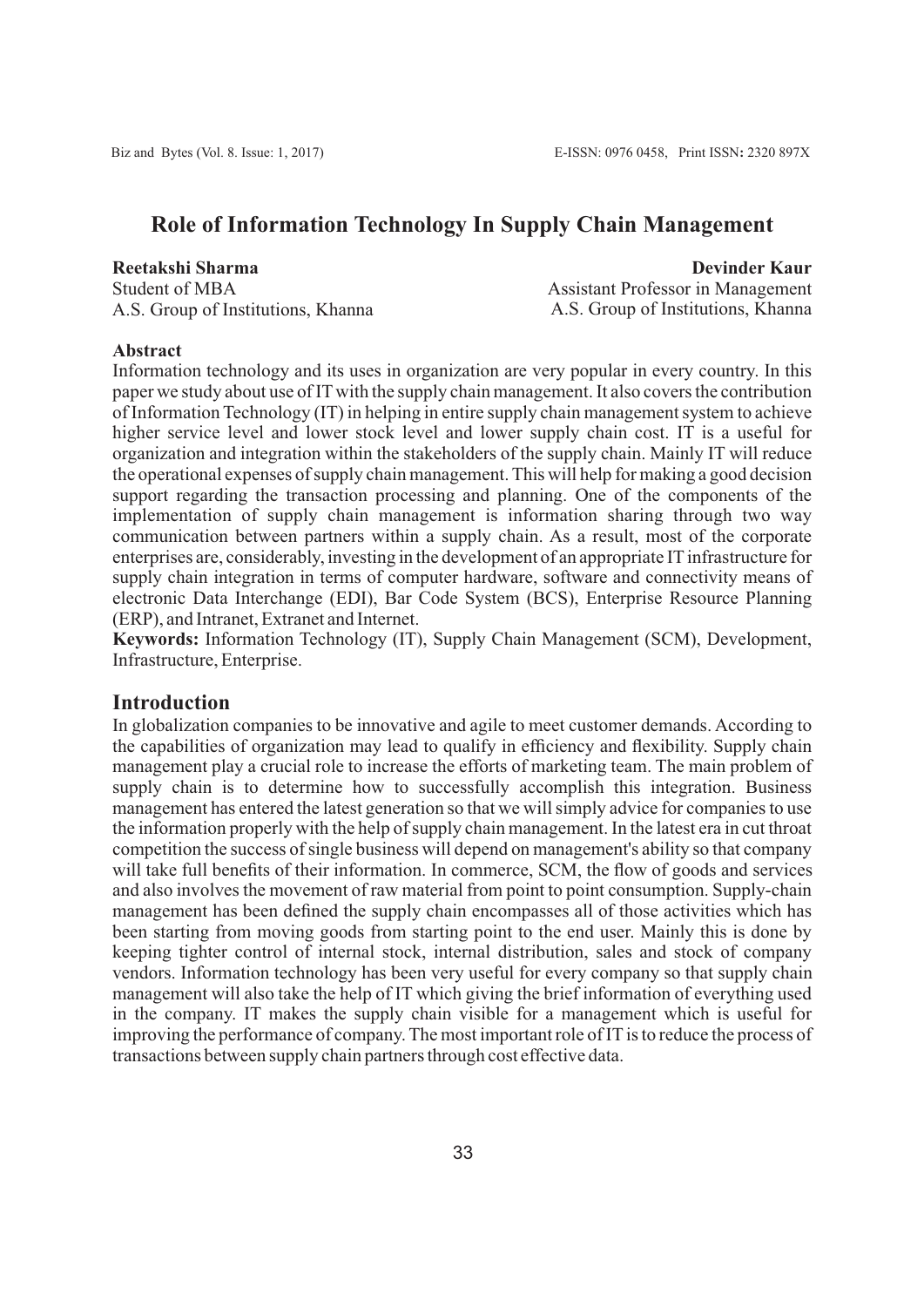# **Role of Information Technology In Supply Chain Management**

### **Reetakshi Sharma**

Student of MBA A.S. Group of Institutions, Khanna

**Devinder Kaur** Assistant Professor in Management A.S. Group of Institutions, Khanna

#### **Abstract**

Information technology and its uses in organization are very popular in every country. In this paper we study about use of ITwith the supply chain management. It also covers the contribution of Information Technology (IT) in helping in entire supply chain management system to achieve higher service level and lower stock level and lower supply chain cost. IT is a useful for organization and integration within the stakeholders of the supply chain. Mainly IT will reduce the operational expenses of supply chain management. This will help for making a good decision support regarding the transaction processing and planning. One of the components of the implementation of supply chain management is information sharing through two way communication between partners within a supply chain. As a result, most of the corporate enterprises are, considerably, investing in the development of an appropriate IT infrastructure for supply chain integration in terms of computer hardware, software and connectivity means of electronic Data Interchange (EDI), Bar Code System (BCS), Enterprise Resource Planning (ERP), and Intranet, Extranet and Internet.

**Keywords:** Information Technology (IT), Supply Chain Management (SCM), Development, Infrastructure, Enterprise.

### **Introduction**

In globalization companies to be innovative and agile to meet customer demands. According to the capabilities of organization may lead to qualify in efficiency and flexibility. Supply chain management play a crucial role to increase the efforts of marketing team. The main problem of supply chain is to determine how to successfully accomplish this integration. Business management has entered the latest generation so that we will simply advice for companies to use the information properly with the help of supply chain management. In the latest era in cut throat competition the success of single business will depend on management's ability so that company will take full benefits of their information. In commerce, SCM, the flow of goods and services and also involves the movement of raw material from point to point consumption. Supply-chain management has been defined the supply chain encompasses all of those activities which has been starting from moving goods from starting point to the end user. Mainly this is done by keeping tighter control of internal stock, internal distribution, sales and stock of company vendors. Information technology has been very useful for every company so that supply chain management will also take the help of IT which giving the brief information of everything used in the company. IT makes the supply chain visible for a management which is useful for improving the performance of company. The most important role of IT is to reduce the process of transactions between supply chain partners through cost effective data.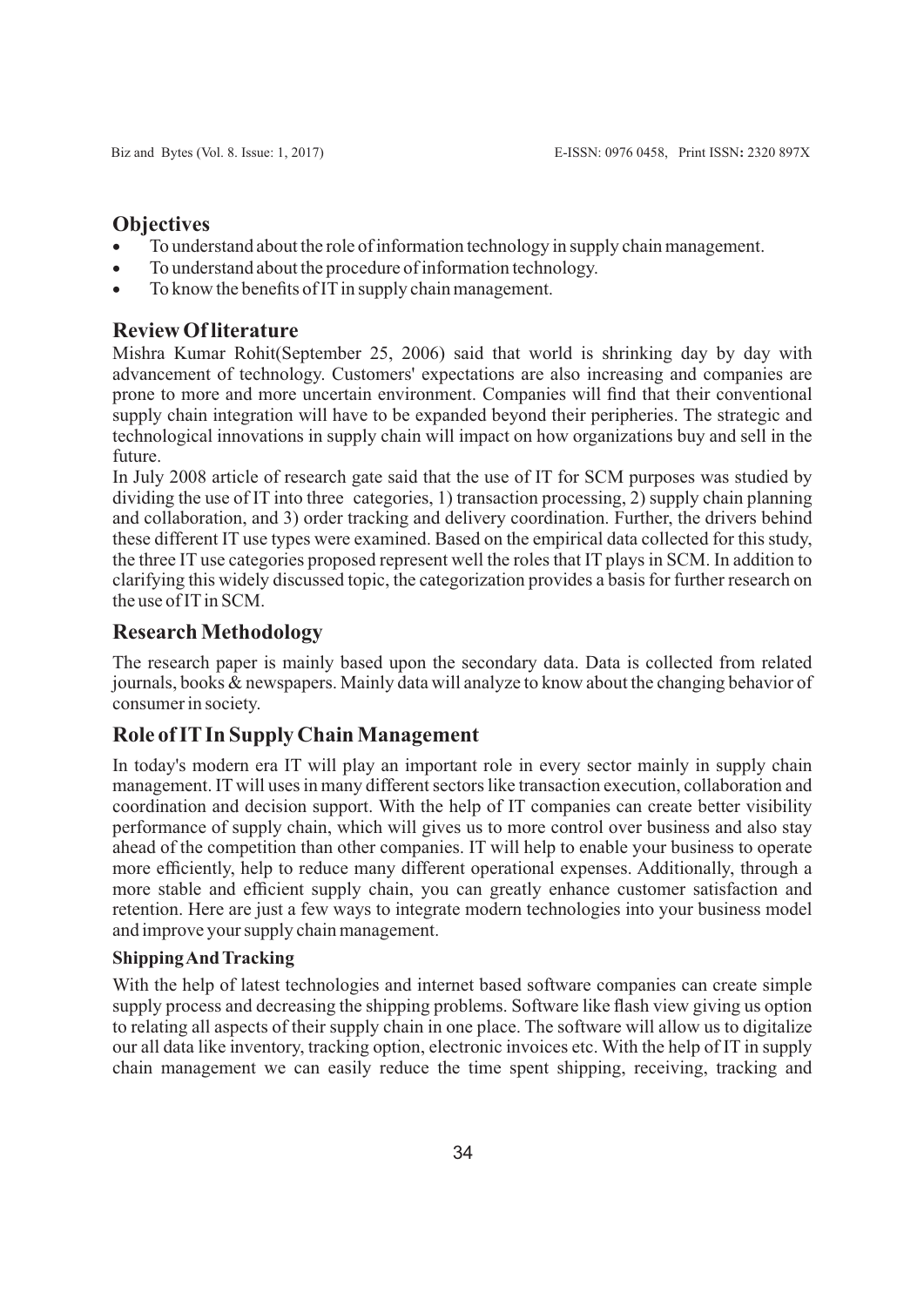# **Objectives**

- · To understand about the role of information technology in supply chain management.
- To understand about the procedure of information technology.
- To know the benefits of IT in supply chain management.

## **Review Of literature**

Mishra Kumar Rohit(September 25, 2006) said that world is shrinking day by day with advancement of technology. Customers' expectations are also increasing and companies are prone to more and more uncertain environment. Companies will find that their conventional supply chain integration will have to be expanded beyond their peripheries. The strategic and technological innovations in supply chain will impact on how organizations buy and sell in the future.

In July 2008 article of research gate said that the use of IT for SCM purposes was studied by dividing the use of IT into three categories, 1) transaction processing, 2) supply chain planning and collaboration, and 3) order tracking and delivery coordination. Further, the drivers behind these different IT use types were examined. Based on the empirical data collected for this study, the three IT use categories proposed represent well the roles that IT plays in SCM. In addition to clarifying this widely discussed topic, the categorization provides a basis for further research on the use of IT in SCM.

# **Research Methodology**

The research paper is mainly based upon the secondary data. Data is collected from related journals, books & newspapers. Mainly data will analyze to know about the changing behavior of consumer in society.

# **Role of ITIn Supply Chain Management**

In today's modern era IT will play an important role in every sector mainly in supply chain management. IT will uses in many different sectors like transaction execution, collaboration and coordination and decision support. With the help of IT companies can create better visibility performance of supply chain, which will gives us to more control over business and also stay ahead of the competition than other companies. IT will help to enable your business to operate more efficiently, help to reduce many different operational expenses. Additionally, through a more stable and efficient supply chain, you can greatly enhance customer satisfaction and retention. Here are just a few ways to integrate modern technologies into your business model and improve your supply chain management.

## **Shipping And Tracking**

With the help of latest technologies and internet based software companies can create simple supply process and decreasing the shipping problems. Software like flash view giving us option to relating all aspects of their supply chain in one place. The software will allow us to digitalize our all data like inventory, tracking option, electronic invoices etc. With the help of IT in supply chain management we can easily reduce the time spent shipping, receiving, tracking and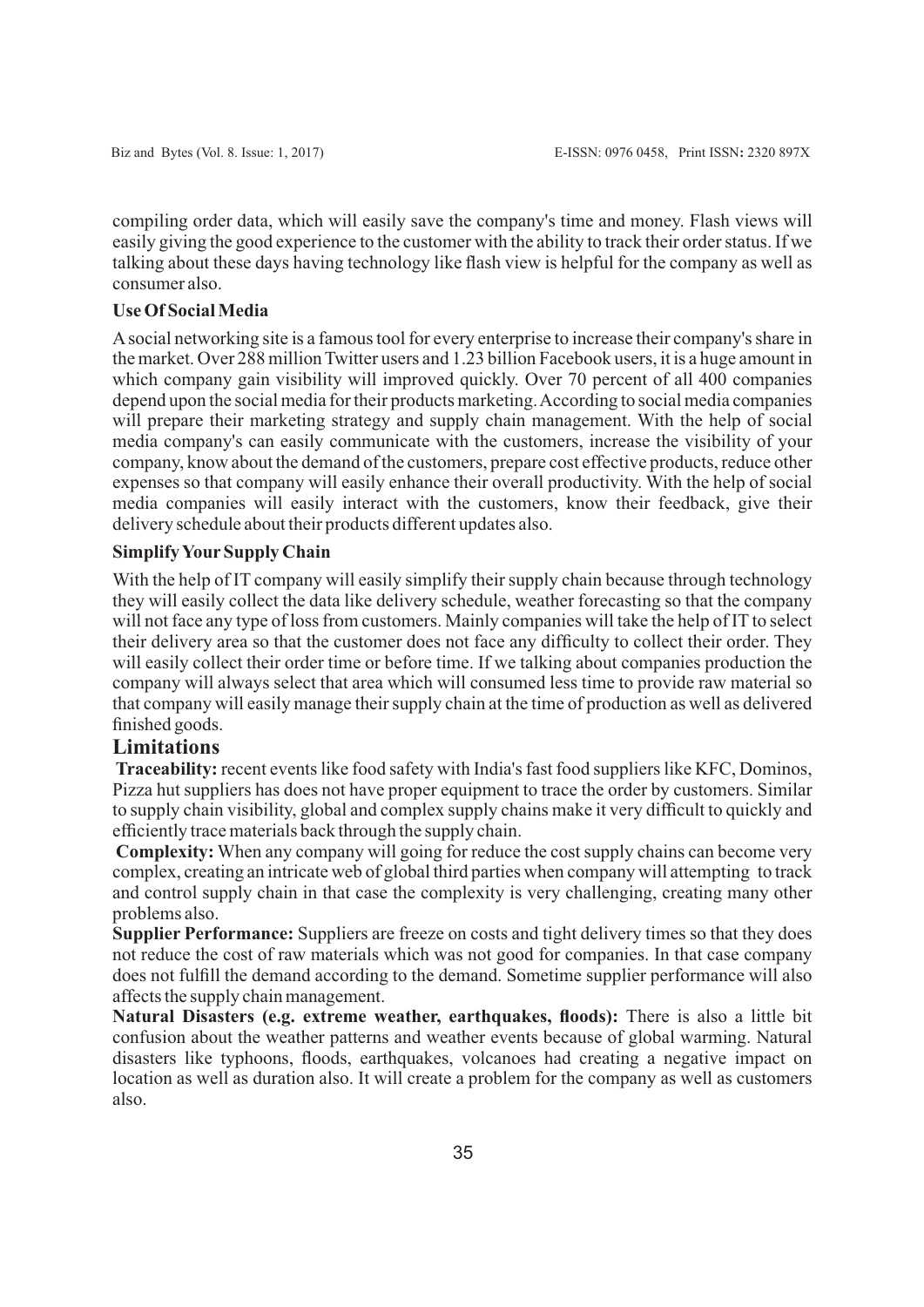compiling order data, which will easily save the company's time and money. Flash views will easily giving the good experience to the customer with the ability to track their order status. If we talking about these days having technology like flash view is helpful for the company as well as consumer also.

#### **Use Of Social Media**

Asocial networking site is a famous tool for every enterprise to increase their company's share in the market. Over 288 million Twitter users and 1.23 billion Facebook users, it is a huge amount in which company gain visibility will improved quickly. Over 70 percent of all 400 companies depend upon the social media for their products marketing. According to social media companies will prepare their marketing strategy and supply chain management. With the help of social media company's can easily communicate with the customers, increase the visibility of your company, know about the demand of the customers, prepare cost effective products, reduce other expenses so that company will easily enhance their overall productivity. With the help of social media companies will easily interact with the customers, know their feedback, give their delivery schedule about their products different updates also.

#### **Simplify Your Supply Chain**

With the help of IT company will easily simplify their supply chain because through technology they will easily collect the data like delivery schedule, weather forecasting so that the company will not face any type of loss from customers. Mainly companies will take the help of IT to select their delivery area so that the customer does not face any difficulty to collect their order. They will easily collect their order time or before time. If we talking about companies production the company will always select that area which will consumed less time to provide raw material so that company will easily manage their supply chain at the time of production as well as delivered finished goods.

## **Limitations**

**Traceability:** recent events like food safety with India's fast food suppliers like KFC, Dominos, Pizza hut suppliers has does not have proper equipment to trace the order by customers. Similar to supply chain visibility, global and complex supply chains make it very difficult to quickly and efficiently trace materials back through the supply chain.

**Complexity:** When any company will going for reduce the cost supply chains can become very complex, creating an intricate web of global third parties when company will attempting to track and control supply chain in that case the complexity is very challenging, creating many other problems also.

**Supplier Performance:** Suppliers are freeze on costs and tight delivery times so that they does not reduce the cost of raw materials which was not good for companies. In that case company does not fulfill the demand according to the demand. Sometime supplier performance will also affects the supply chain management.

**Natural Disasters (e.g. extreme weather, earthquakes, floods):** There is also a little bit confusion about the weather patterns and weather events because of global warming. Natural disasters like typhoons, floods, earthquakes, volcanoes had creating a negative impact on location as well as duration also. It will create a problem for the company as well as customers also.